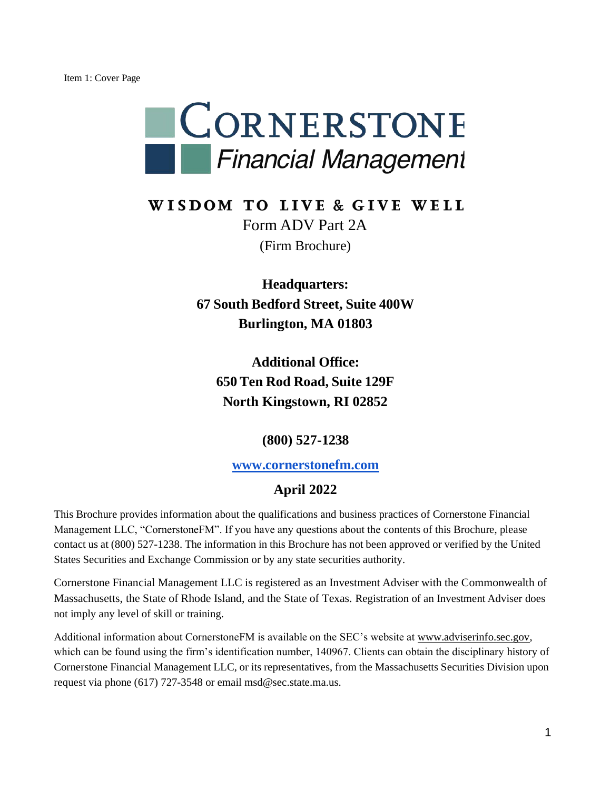

### WISDOM TO LIVE & GIVE WELL Form ADV Part 2A (Firm Brochure)

**Headquarters: 67 South Bedford Street, Suite 400W Burlington, MA 01803**

**Additional Office: 650 Ten Rod Road, Suite 129F North Kingstown, RI 02852**

**(800) 527-1238**

**www.cornerstonefm.com**

#### **April 2022**

This Brochure provides information about the qualifications and business practices of Cornerstone Financial Management LLC, "CornerstoneFM". If you have any questions about the contents of this Brochure, please contact us at (800) 527-1238. The information in this Brochure has not been approved or verified by the United States Securities and Exchange Commission or by any state securities authority.

Cornerstone Financial Management LLC is registered as an Investment Adviser with the Commonwealth of Massachusetts, the State of Rhode Island, and the State of Texas. Registration of an Investment Adviser does not imply any level of skill or training.

Additional information about CornerstoneFM is available on the SEC's website at www.adviserinfo.sec.gov, which can be found using the firm's identification number, 140967. Clients can obtain the disciplinary history of Cornerstone Financial Management LLC, or its representatives, from the Massachusetts Securities Division upon request via phone (617) 727-3548 or email msd@sec.state.ma.us.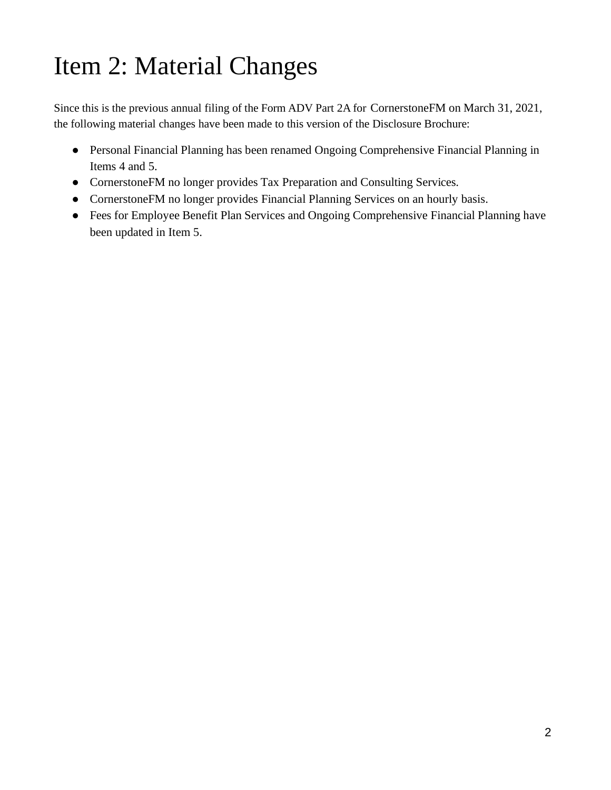# Item 2: Material Changes

Since this is the previous annual filing of the Form ADV Part 2A for CornerstoneFM on March 31, 2021, the following material changes have been made to this version of the Disclosure Brochure:

- Personal Financial Planning has been renamed Ongoing Comprehensive Financial Planning in Items 4 and 5.
- CornerstoneFM no longer provides Tax Preparation and Consulting Services.
- CornerstoneFM no longer provides Financial Planning Services on an hourly basis.
- Fees for Employee Benefit Plan Services and Ongoing Comprehensive Financial Planning have been updated in Item 5.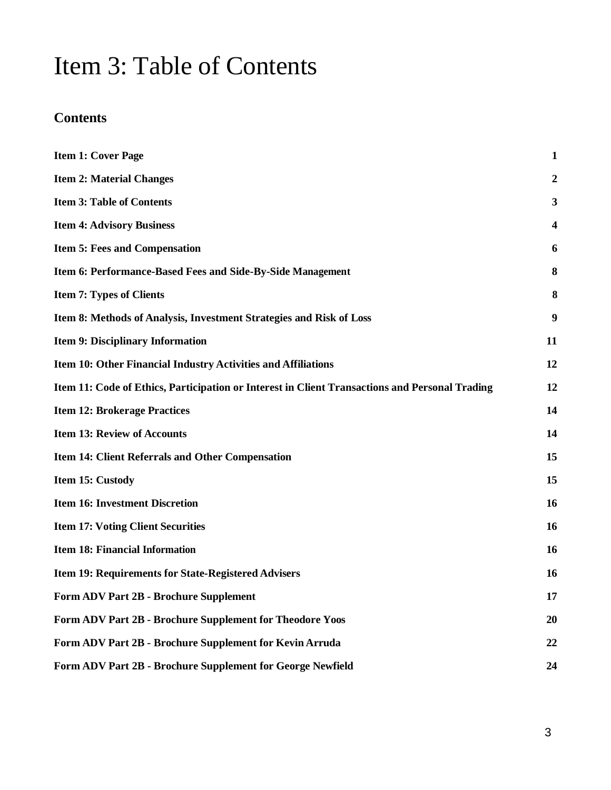## Item 3: Table of Contents

### **Contents**

| <b>Item 1: Cover Page</b>                                                                      | $\mathbf{1}$            |
|------------------------------------------------------------------------------------------------|-------------------------|
| <b>Item 2: Material Changes</b>                                                                | $\boldsymbol{2}$        |
| <b>Item 3: Table of Contents</b>                                                               | 3                       |
| <b>Item 4: Advisory Business</b>                                                               | $\overline{\mathbf{4}}$ |
| <b>Item 5: Fees and Compensation</b>                                                           | 6                       |
| Item 6: Performance-Based Fees and Side-By-Side Management                                     | 8                       |
| <b>Item 7: Types of Clients</b>                                                                | 8                       |
| Item 8: Methods of Analysis, Investment Strategies and Risk of Loss                            | 9                       |
| <b>Item 9: Disciplinary Information</b>                                                        | 11                      |
| Item 10: Other Financial Industry Activities and Affiliations                                  | 12                      |
| Item 11: Code of Ethics, Participation or Interest in Client Transactions and Personal Trading | 12                      |
| <b>Item 12: Brokerage Practices</b>                                                            | 14                      |
| <b>Item 13: Review of Accounts</b>                                                             | 14                      |
| Item 14: Client Referrals and Other Compensation                                               | 15                      |
| Item 15: Custody                                                                               | 15                      |
| <b>Item 16: Investment Discretion</b>                                                          | 16                      |
| <b>Item 17: Voting Client Securities</b>                                                       | 16                      |
| <b>Item 18: Financial Information</b>                                                          | 16                      |
| <b>Item 19: Requirements for State-Registered Advisers</b>                                     | 16                      |
| <b>Form ADV Part 2B - Brochure Supplement</b>                                                  | 17                      |
| Form ADV Part 2B - Brochure Supplement for Theodore Yoos                                       | 20                      |
| Form ADV Part 2B - Brochure Supplement for Kevin Arruda                                        | 22                      |
| Form ADV Part 2B - Brochure Supplement for George Newfield                                     | 24                      |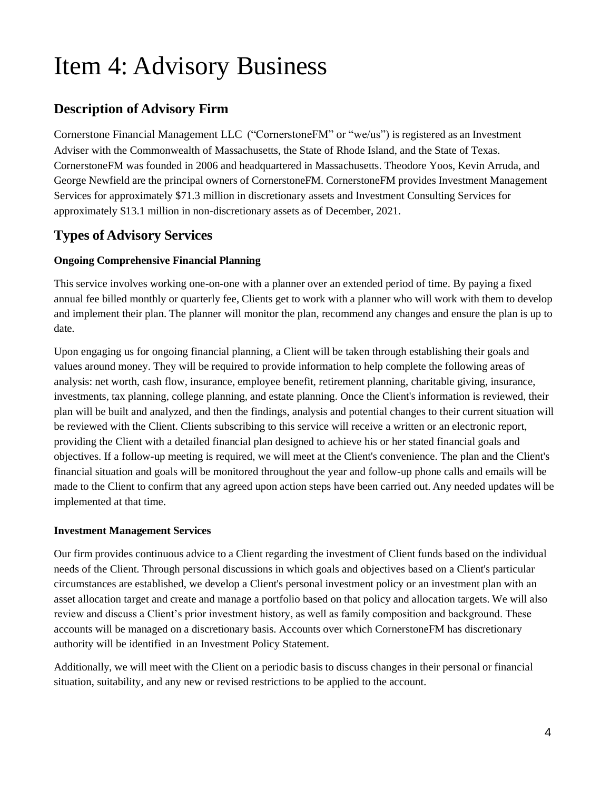## Item 4: Advisory Business

### **Description of Advisory Firm**

Cornerstone Financial Management LLC ("CornerstoneFM" or "we/us") is registered as an Investment Adviser with the Commonwealth of Massachusetts, the State of Rhode Island, and the State of Texas. CornerstoneFM was founded in 2006 and headquartered in Massachusetts. Theodore Yoos, Kevin Arruda, and George Newfield are the principal owners of CornerstoneFM. CornerstoneFM provides Investment Management Services for approximately \$71.3 million in discretionary assets and Investment Consulting Services for approximately \$13.1 million in non-discretionary assets as of December, 2021.

#### **Types of Advisory Services**

#### **Ongoing Comprehensive Financial Planning**

This service involves working one-on-one with a planner over an extended period of time. By paying a fixed annual fee billed monthly or quarterly fee, Clients get to work with a planner who will work with them to develop and implement their plan. The planner will monitor the plan, recommend any changes and ensure the plan is up to date.

Upon engaging us for ongoing financial planning, a Client will be taken through establishing their goals and values around money. They will be required to provide information to help complete the following areas of analysis: net worth, cash flow, insurance, employee benefit, retirement planning, charitable giving, insurance, investments, tax planning, college planning, and estate planning. Once the Client's information is reviewed, their plan will be built and analyzed, and then the findings, analysis and potential changes to their current situation will be reviewed with the Client. Clients subscribing to this service will receive a written or an electronic report, providing the Client with a detailed financial plan designed to achieve his or her stated financial goals and objectives. If a follow-up meeting is required, we will meet at the Client's convenience. The plan and the Client's financial situation and goals will be monitored throughout the year and follow-up phone calls and emails will be made to the Client to confirm that any agreed upon action steps have been carried out. Any needed updates will be implemented at that time.

#### **Investment Management Services**

Our firm provides continuous advice to a Client regarding the investment of Client funds based on the individual needs of the Client. Through personal discussions in which goals and objectives based on a Client's particular circumstances are established, we develop a Client's personal investment policy or an investment plan with an asset allocation target and create and manage a portfolio based on that policy and allocation targets. We will also review and discuss a Client's prior investment history, as well as family composition and background. These accounts will be managed on a discretionary basis. Accounts over which CornerstoneFM has discretionary authority will be identified in an Investment Policy Statement.

Additionally, we will meet with the Client on a periodic basis to discuss changes in their personal or financial situation, suitability, and any new or revised restrictions to be applied to the account.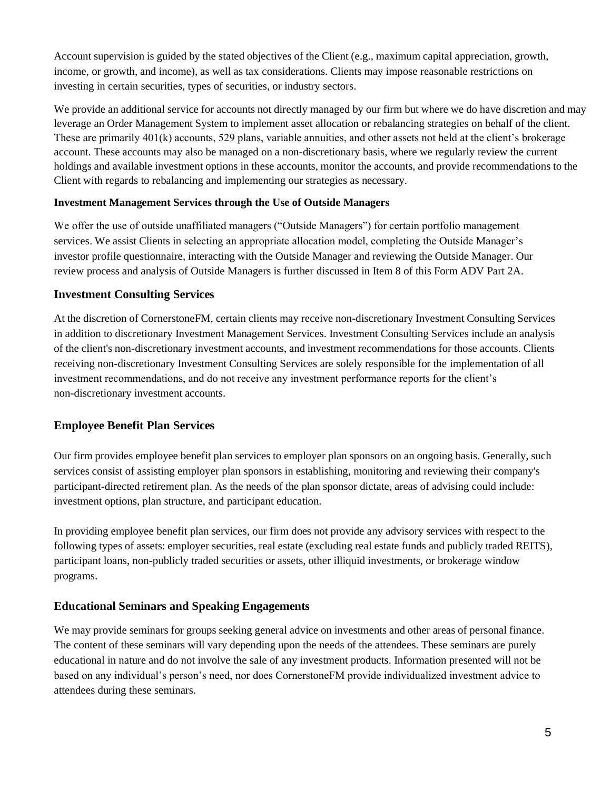Account supervision is guided by the stated objectives of the Client (e.g., maximum capital appreciation, growth, income, or growth, and income), as well as tax considerations. Clients may impose reasonable restrictions on investing in certain securities, types of securities, or industry sectors.

We provide an additional service for accounts not directly managed by our firm but where we do have discretion and may leverage an Order Management System to implement asset allocation or rebalancing strategies on behalf of the client. These are primarily 401(k) accounts, 529 plans, variable annuities, and other assets not held at the client's brokerage account. These accounts may also be managed on a non-discretionary basis, where we regularly review the current holdings and available investment options in these accounts, monitor the accounts, and provide recommendations to the Client with regards to rebalancing and implementing our strategies as necessary.

#### **Investment Management Services through the Use of Outside Managers**

We offer the use of outside unaffiliated managers ("Outside Managers") for certain portfolio management services. We assist Clients in selecting an appropriate allocation model, completing the Outside Manager's investor profile questionnaire, interacting with the Outside Manager and reviewing the Outside Manager. Our review process and analysis of Outside Managers is further discussed in Item 8 of this Form ADV Part 2A.

#### **Investment Consulting Services**

At the discretion of CornerstoneFM, certain clients may receive non-discretionary Investment Consulting Services in addition to discretionary Investment Management Services. Investment Consulting Services include an analysis of the client's non-discretionary investment accounts, and investment recommendations for those accounts. Clients receiving non-discretionary Investment Consulting Services are solely responsible for the implementation of all investment recommendations, and do not receive any investment performance reports for the client's non-discretionary investment accounts.

#### **Employee Benefit Plan Services**

Our firm provides employee benefit plan services to employer plan sponsors on an ongoing basis. Generally, such services consist of assisting employer plan sponsors in establishing, monitoring and reviewing their company's participant-directed retirement plan. As the needs of the plan sponsor dictate, areas of advising could include: investment options, plan structure, and participant education.

In providing employee benefit plan services, our firm does not provide any advisory services with respect to the following types of assets: employer securities, real estate (excluding real estate funds and publicly traded REITS), participant loans, non-publicly traded securities or assets, other illiquid investments, or brokerage window programs.

#### **Educational Seminars and Speaking Engagements**

We may provide seminars for groups seeking general advice on investments and other areas of personal finance. The content of these seminars will vary depending upon the needs of the attendees. These seminars are purely educational in nature and do not involve the sale of any investment products. Information presented will not be based on any individual's person's need, nor does CornerstoneFM provide individualized investment advice to attendees during these seminars.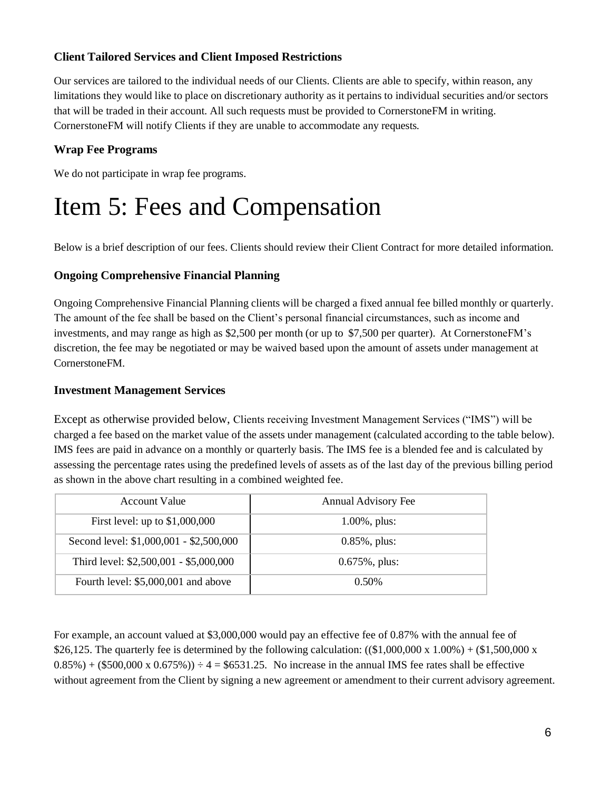#### **Client Tailored Services and Client Imposed Restrictions**

Our services are tailored to the individual needs of our Clients. Clients are able to specify, within reason, any limitations they would like to place on discretionary authority as it pertains to individual securities and/or sectors that will be traded in their account. All such requests must be provided to CornerstoneFM in writing. CornerstoneFM will notify Clients if they are unable to accommodate any requests.

#### **Wrap Fee Programs**

We do not participate in wrap fee programs.

## Item 5: Fees and Compensation

Below is a brief description of our fees. Clients should review their Client Contract for more detailed information.

#### **Ongoing Comprehensive Financial Planning**

Ongoing Comprehensive Financial Planning clients will be charged a fixed annual fee billed monthly or quarterly. The amount of the fee shall be based on the Client's personal financial circumstances, such as income and investments, and may range as high as \$2,500 per month (or up to \$7,500 per quarter). At CornerstoneFM's discretion, the fee may be negotiated or may be waived based upon the amount of assets under management at CornerstoneFM.

#### **Investment Management Services**

Except as otherwise provided below, Clients receiving Investment Management Services ("IMS") will be charged a fee based on the market value of the assets under management (calculated according to the table below). IMS fees are paid in advance on a monthly or quarterly basis. The IMS fee is a blended fee and is calculated by assessing the percentage rates using the predefined levels of assets as of the last day of the previous billing period as shown in the above chart resulting in a combined weighted fee.

| Account Value                           | Annual Advisory Fee |
|-----------------------------------------|---------------------|
| First level: up to $$1,000,000$         | $1.00\%$ , plus:    |
| Second level: \$1,000,001 - \$2,500,000 | $0.85\%$ , plus:    |
| Third level: \$2,500,001 - \$5,000,000  | $0.675\%$ , plus:   |
| Fourth level: \$5,000,001 and above     | $0.50\%$            |

For example, an account valued at \$3,000,000 would pay an effective fee of 0.87% with the annual fee of \$26,125. The quarterly fee is determined by the following calculation:  $((\$1,000,000 \times 1.00%) + (\$1,500,000 \times 1.00%)$  $0.85\%$ ) + (\$500,000 x  $0.675\%$ ))  $\div$  4 = \$6531.25. No increase in the annual IMS fee rates shall be effective without agreement from the Client by signing a new agreement or amendment to their current advisory agreement.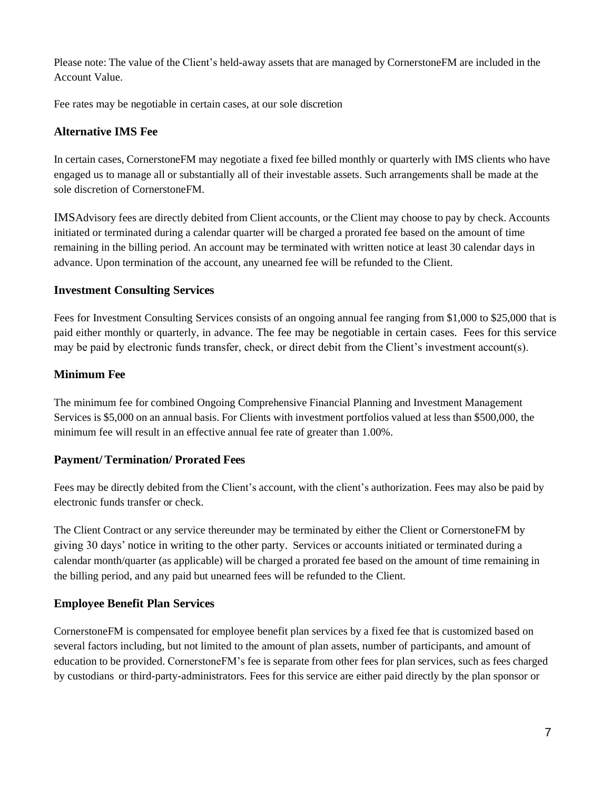Please note: The value of the Client's held-away assets that are managed by CornerstoneFM are included in the Account Value.

Fee rates may be negotiable in certain cases, at our sole discretion

#### **Alternative IMS Fee**

In certain cases, CornerstoneFM may negotiate a fixed fee billed monthly or quarterly with IMS clients who have engaged us to manage all or substantially all of their investable assets. Such arrangements shall be made at the sole discretion of CornerstoneFM.

IMSAdvisory fees are directly debited from Client accounts, or the Client may choose to pay by check. Accounts initiated or terminated during a calendar quarter will be charged a prorated fee based on the amount of time remaining in the billing period. An account may be terminated with written notice at least 30 calendar days in advance. Upon termination of the account, any unearned fee will be refunded to the Client.

#### **Investment Consulting Services**

Fees for Investment Consulting Services consists of an ongoing annual fee ranging from \$1,000 to \$25,000 that is paid either monthly or quarterly, in advance. The fee may be negotiable in certain cases. Fees for this service may be paid by electronic funds transfer, check, or direct debit from the Client's investment account(s).

#### **Minimum Fee**

The minimum fee for combined Ongoing Comprehensive Financial Planning and Investment Management Services is \$5,000 on an annual basis. For Clients with investment portfolios valued at less than \$500,000, the minimum fee will result in an effective annual fee rate of greater than 1.00%.

#### **Payment/ Termination/ Prorated Fees**

Fees may be directly debited from the Client's account, with the client's authorization. Fees may also be paid by electronic funds transfer or check.

The Client Contract or any service thereunder may be terminated by either the Client or CornerstoneFM by giving 30 days' notice in writing to the other party. Services or accounts initiated or terminated during a calendar month/quarter (as applicable) will be charged a prorated fee based on the amount of time remaining in the billing period, and any paid but unearned fees will be refunded to the Client.

#### **Employee Benefit Plan Services**

CornerstoneFM is compensated for employee benefit plan services by a fixed fee that is customized based on several factors including, but not limited to the amount of plan assets, number of participants, and amount of education to be provided. CornerstoneFM's fee is separate from other fees for plan services, such as fees charged by custodians or third-party-administrators. Fees for this service are either paid directly by the plan sponsor or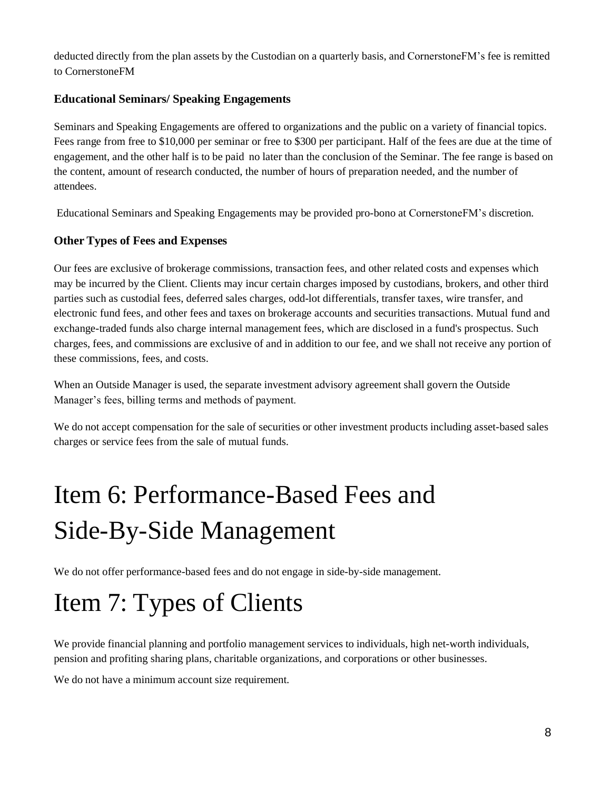deducted directly from the plan assets by the Custodian on a quarterly basis, and CornerstoneFM's fee is remitted to CornerstoneFM

#### **Educational Seminars/ Speaking Engagements**

Seminars and Speaking Engagements are offered to organizations and the public on a variety of financial topics. Fees range from free to \$10,000 per seminar or free to \$300 per participant. Half of the fees are due at the time of engagement, and the other half is to be paid no later than the conclusion of the Seminar. The fee range is based on the content, amount of research conducted, the number of hours of preparation needed, and the number of attendees.

Educational Seminars and Speaking Engagements may be provided pro-bono at CornerstoneFM's discretion.

#### **Other Types of Fees and Expenses**

Our fees are exclusive of brokerage commissions, transaction fees, and other related costs and expenses which may be incurred by the Client. Clients may incur certain charges imposed by custodians, brokers, and other third parties such as custodial fees, deferred sales charges, odd-lot differentials, transfer taxes, wire transfer, and electronic fund fees, and other fees and taxes on brokerage accounts and securities transactions. Mutual fund and exchange-traded funds also charge internal management fees, which are disclosed in a fund's prospectus. Such charges, fees, and commissions are exclusive of and in addition to our fee, and we shall not receive any portion of these commissions, fees, and costs.

When an Outside Manager is used, the separate investment advisory agreement shall govern the Outside Manager's fees, billing terms and methods of payment.

We do not accept compensation for the sale of securities or other investment products including asset-based sales charges or service fees from the sale of mutual funds.

# Item 6: Performance-Based Fees and Side-By-Side Management

We do not offer performance-based fees and do not engage in side-by-side management.

## Item 7: Types of Clients

We provide financial planning and portfolio management services to individuals, high net-worth individuals, pension and profiting sharing plans, charitable organizations, and corporations or other businesses.

We do not have a minimum account size requirement.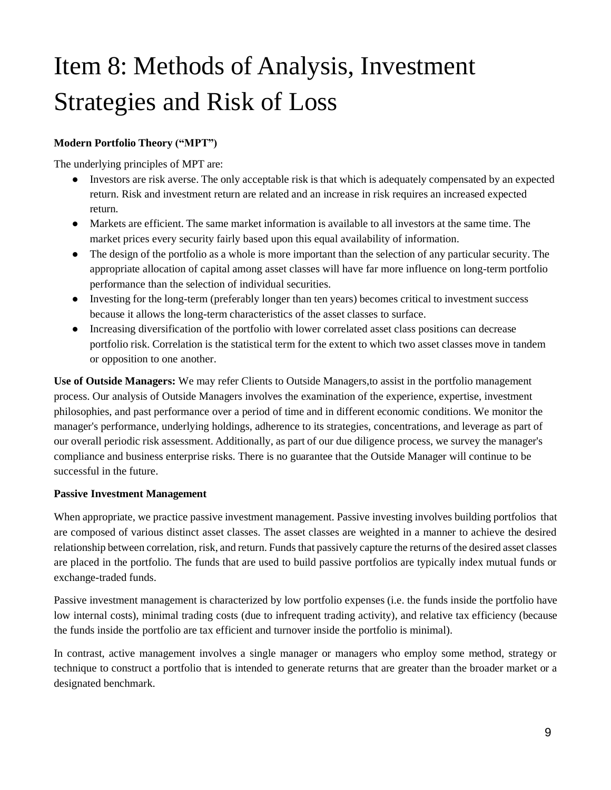# Item 8: Methods of Analysis, Investment Strategies and Risk of Loss

#### **Modern Portfolio Theory ("MPT")**

The underlying principles of MPT are:

- Investors are risk averse. The only acceptable risk is that which is adequately compensated by an expected return. Risk and investment return are related and an increase in risk requires an increased expected return.
- Markets are efficient. The same market information is available to all investors at the same time. The market prices every security fairly based upon this equal availability of information.
- The design of the portfolio as a whole is more important than the selection of any particular security. The appropriate allocation of capital among asset classes will have far more influence on long-term portfolio performance than the selection of individual securities.
- Investing for the long-term (preferably longer than ten years) becomes critical to investment success because it allows the long-term characteristics of the asset classes to surface.
- Increasing diversification of the portfolio with lower correlated asset class positions can decrease portfolio risk. Correlation is the statistical term for the extent to which two asset classes move in tandem or opposition to one another.

**Use of Outside Managers:** We may refer Clients to Outside Managers,to assist in the portfolio management process. Our analysis of Outside Managers involves the examination of the experience, expertise, investment philosophies, and past performance over a period of time and in different economic conditions. We monitor the manager's performance, underlying holdings, adherence to its strategies, concentrations, and leverage as part of our overall periodic risk assessment. Additionally, as part of our due diligence process, we survey the manager's compliance and business enterprise risks. There is no guarantee that the Outside Manager will continue to be successful in the future.

#### **Passive Investment Management**

When appropriate, we practice passive investment management. Passive investing involves building portfolios that are composed of various distinct asset classes. The asset classes are weighted in a manner to achieve the desired relationship between correlation, risk, and return. Funds that passively capture the returns of the desired asset classes are placed in the portfolio. The funds that are used to build passive portfolios are typically index mutual funds or exchange-traded funds.

Passive investment management is characterized by low portfolio expenses (i.e. the funds inside the portfolio have low internal costs), minimal trading costs (due to infrequent trading activity), and relative tax efficiency (because the funds inside the portfolio are tax efficient and turnover inside the portfolio is minimal).

In contrast, active management involves a single manager or managers who employ some method, strategy or technique to construct a portfolio that is intended to generate returns that are greater than the broader market or a designated benchmark.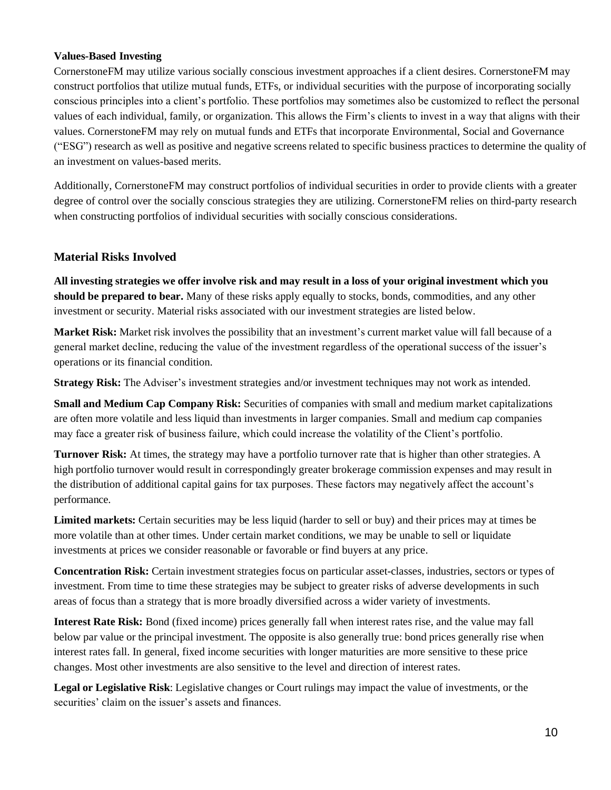#### **Values-Based Investing**

CornerstoneFM may utilize various socially conscious investment approaches if a client desires. CornerstoneFM may construct portfolios that utilize mutual funds, ETFs, or individual securities with the purpose of incorporating socially conscious principles into a client's portfolio. These portfolios may sometimes also be customized to reflect the personal values of each individual, family, or organization. This allows the Firm's clients to invest in a way that aligns with their values. CornerstoneFM may rely on mutual funds and ETFs that incorporate Environmental, Social and Governance ("ESG") research as well as positive and negative screens related to specific business practices to determine the quality of an investment on values-based merits.

Additionally, CornerstoneFM may construct portfolios of individual securities in order to provide clients with a greater degree of control over the socially conscious strategies they are utilizing. CornerstoneFM relies on third-party research when constructing portfolios of individual securities with socially conscious considerations.

#### **Material Risks Involved**

All investing strategies we offer involve risk and may result in a loss of your original investment which you **should be prepared to bear.** Many of these risks apply equally to stocks, bonds, commodities, and any other investment or security. Material risks associated with our investment strategies are listed below.

**Market Risk:** Market risk involves the possibility that an investment's current market value will fall because of a general market decline, reducing the value of the investment regardless of the operational success of the issuer's operations or its financial condition.

**Strategy Risk:** The Adviser's investment strategies and/or investment techniques may not work as intended.

**Small and Medium Cap Company Risk:** Securities of companies with small and medium market capitalizations are often more volatile and less liquid than investments in larger companies. Small and medium cap companies may face a greater risk of business failure, which could increase the volatility of the Client's portfolio.

**Turnover Risk:** At times, the strategy may have a portfolio turnover rate that is higher than other strategies. A high portfolio turnover would result in correspondingly greater brokerage commission expenses and may result in the distribution of additional capital gains for tax purposes. These factors may negatively affect the account's performance.

**Limited markets:** Certain securities may be less liquid (harder to sell or buy) and their prices may at times be more volatile than at other times. Under certain market conditions, we may be unable to sell or liquidate investments at prices we consider reasonable or favorable or find buyers at any price.

**Concentration Risk:** Certain investment strategies focus on particular asset-classes, industries, sectors or types of investment. From time to time these strategies may be subject to greater risks of adverse developments in such areas of focus than a strategy that is more broadly diversified across a wider variety of investments.

**Interest Rate Risk:** Bond (fixed income) prices generally fall when interest rates rise, and the value may fall below par value or the principal investment. The opposite is also generally true: bond prices generally rise when interest rates fall. In general, fixed income securities with longer maturities are more sensitive to these price changes. Most other investments are also sensitive to the level and direction of interest rates.

**Legal or Legislative Risk**: Legislative changes or Court rulings may impact the value of investments, or the securities' claim on the issuer's assets and finances.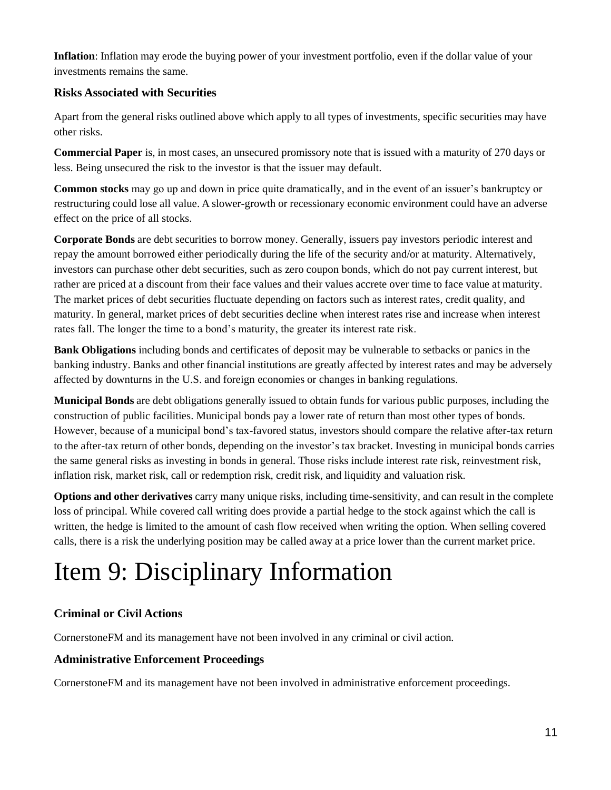**Inflation**: Inflation may erode the buying power of your investment portfolio, even if the dollar value of your investments remains the same.

#### **Risks Associated with Securities**

Apart from the general risks outlined above which apply to all types of investments, specific securities may have other risks.

**Commercial Paper** is, in most cases, an unsecured promissory note that is issued with a maturity of 270 days or less. Being unsecured the risk to the investor is that the issuer may default.

**Common stocks** may go up and down in price quite dramatically, and in the event of an issuer's bankruptcy or restructuring could lose all value. A slower-growth or recessionary economic environment could have an adverse effect on the price of all stocks.

**Corporate Bonds** are debt securities to borrow money. Generally, issuers pay investors periodic interest and repay the amount borrowed either periodically during the life of the security and/or at maturity. Alternatively, investors can purchase other debt securities, such as zero coupon bonds, which do not pay current interest, but rather are priced at a discount from their face values and their values accrete over time to face value at maturity. The market prices of debt securities fluctuate depending on factors such as interest rates, credit quality, and maturity. In general, market prices of debt securities decline when interest rates rise and increase when interest rates fall. The longer the time to a bond's maturity, the greater its interest rate risk.

**Bank Obligations** including bonds and certificates of deposit may be vulnerable to setbacks or panics in the banking industry. Banks and other financial institutions are greatly affected by interest rates and may be adversely affected by downturns in the U.S. and foreign economies or changes in banking regulations.

**Municipal Bonds** are debt obligations generally issued to obtain funds for various public purposes, including the construction of public facilities. Municipal bonds pay a lower rate of return than most other types of bonds. However, because of a municipal bond's tax-favored status, investors should compare the relative after-tax return to the after-tax return of other bonds, depending on the investor's tax bracket. Investing in municipal bonds carries the same general risks as investing in bonds in general. Those risks include interest rate risk, reinvestment risk, inflation risk, market risk, call or redemption risk, credit risk, and liquidity and valuation risk.

**Options and other derivatives** carry many unique risks, including time-sensitivity, and can result in the complete loss of principal. While covered call writing does provide a partial hedge to the stock against which the call is written, the hedge is limited to the amount of cash flow received when writing the option. When selling covered calls, there is a risk the underlying position may be called away at a price lower than the current market price.

# Item 9: Disciplinary Information

#### **Criminal or Civil Actions**

CornerstoneFM and its management have not been involved in any criminal or civil action.

#### **Administrative Enforcement Proceedings**

CornerstoneFM and its management have not been involved in administrative enforcement proceedings.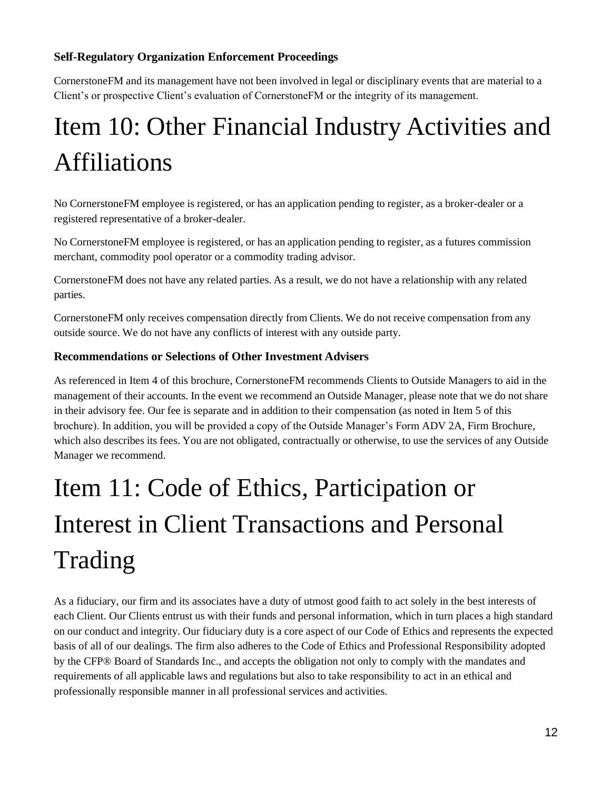#### **Self-Regulatory Organization Enforcement Proceedings**

CornerstoneFM and its management have not been involved in legal or disciplinary events that are material to a Client's or prospective Client's evaluation of CornerstoneFM or the integrity of its management.

# Item 10: Other Financial Industry Activities and Affiliations

No CornerstoneFM employee is registered, or has an application pending to register, as a broker-dealer or a registered representative of a broker-dealer.

No CornerstoneFM employee is registered, or has an application pending to register, as a futures commission merchant, commodity pool operator or a commodity trading advisor.

CornerstoneFM does not have any related parties. As a result, we do not have a relationship with any related parties.

CornerstoneFM only receives compensation directly from Clients. We do not receive compensation from any outside source. We do not have any conflicts of interest with any outside party.

#### **Recommendations or Selections of Other Investment Advisers**

As referenced in Item 4 of this brochure, CornerstoneFM recommends Clients to Outside Managers to aid in the management of their accounts. In the event we recommend an Outside Manager, please note that we do not share in their advisory fee. Our fee is separate and in addition to their compensation (as noted in Item 5 of this brochure). In addition, you will be provided a copy of the Outside Manager's Form ADV 2A, Firm Brochure, which also describes its fees. You are not obligated, contractually or otherwise, to use the services of any Outside Manager we recommend.

# Item 11: Code of Ethics, Participation or Interest in Client Transactions and Personal Trading

As a fiduciary, our firm and its associates have a duty of utmost good faith to act solely in the best interests of each Client. Our Clients entrust us with their funds and personal information, which in turn places a high standard on our conduct and integrity. Our fiduciary duty is a core aspect of our Code of Ethics and represents the expected basis of all of our dealings. The firm also adheres to the Code of Ethics and Professional Responsibility adopted by the CFP® Board of Standards Inc., and accepts the obligation not only to comply with the mandates and requirements of all applicable laws and regulations but also to take responsibility to act in an ethical and professionally responsible manner in all professional services and activities.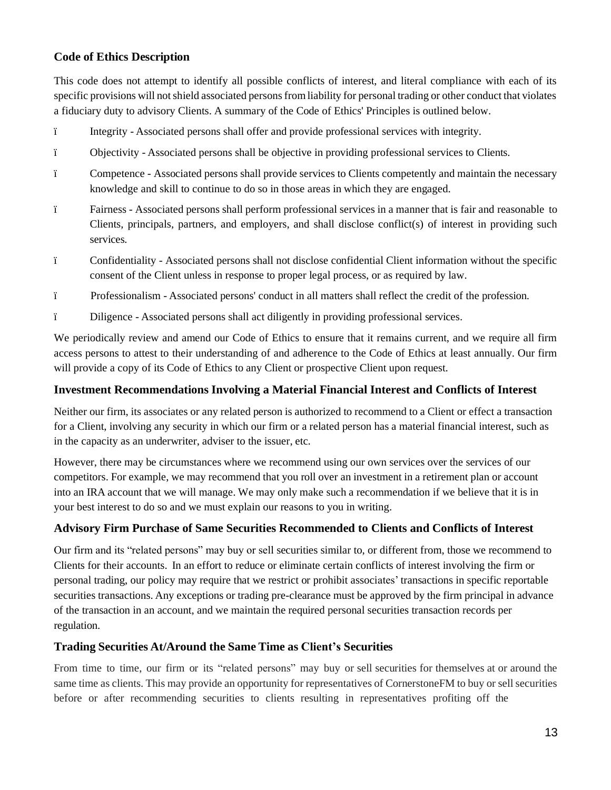#### **Code of Ethics Description**

This code does not attempt to identify all possible conflicts of interest, and literal compliance with each of its specific provisions will not shield associated persons from liability for personal trading or other conduct that violates a fiduciary duty to advisory Clients. A summary of the Code of Ethics' Principles is outlined below.

- ï Integrity Associated persons shall offer and provide professional services with integrity.
- ï Objectivity Associated persons shall be objective in providing professional services to Clients.
- ï Competence Associated persons shall provide services to Clients competently and maintain the necessary knowledge and skill to continue to do so in those areas in which they are engaged.
- ï Fairness Associated persons shall perform professional services in a manner that is fair and reasonable to Clients, principals, partners, and employers, and shall disclose conflict(s) of interest in providing such services.
- ï Confidentiality Associated persons shall not disclose confidential Client information without the specific consent of the Client unless in response to proper legal process, or as required by law.
- ï Professionalism Associated persons' conduct in all matters shall reflect the credit of the profession.
- ï Diligence Associated persons shall act diligently in providing professional services.

We periodically review and amend our Code of Ethics to ensure that it remains current, and we require all firm access persons to attest to their understanding of and adherence to the Code of Ethics at least annually. Our firm will provide a copy of its Code of Ethics to any Client or prospective Client upon request.

#### **Investment Recommendations Involving a Material Financial Interest and Conflicts of Interest**

Neither our firm, its associates or any related person is authorized to recommend to a Client or effect a transaction for a Client, involving any security in which our firm or a related person has a material financial interest, such as in the capacity as an underwriter, adviser to the issuer, etc.

However, there may be circumstances where we recommend using our own services over the services of our competitors. For example, we may recommend that you roll over an investment in a retirement plan or account into an IRA account that we will manage. We may only make such a recommendation if we believe that it is in your best interest to do so and we must explain our reasons to you in writing.

#### **Advisory Firm Purchase of Same Securities Recommended to Clients and Conflicts of Interest**

Our firm and its "related persons" may buy or sell securities similar to, or different from, those we recommend to Clients for their accounts. In an effort to reduce or eliminate certain conflicts of interest involving the firm or personal trading, our policy may require that we restrict or prohibit associates' transactions in specific reportable securities transactions. Any exceptions or trading pre-clearance must be approved by the firm principal in advance of the transaction in an account, and we maintain the required personal securities transaction records per regulation.

#### **Trading Securities At/Around the Same Time as Client's Securities**

From time to time, our firm or its "related persons" may buy or sell securities for themselves at or around the same time as clients. This may provide an opportunity for representatives of CornerstoneFM to buy or sell securities before or after recommending securities to clients resulting in representatives profiting off the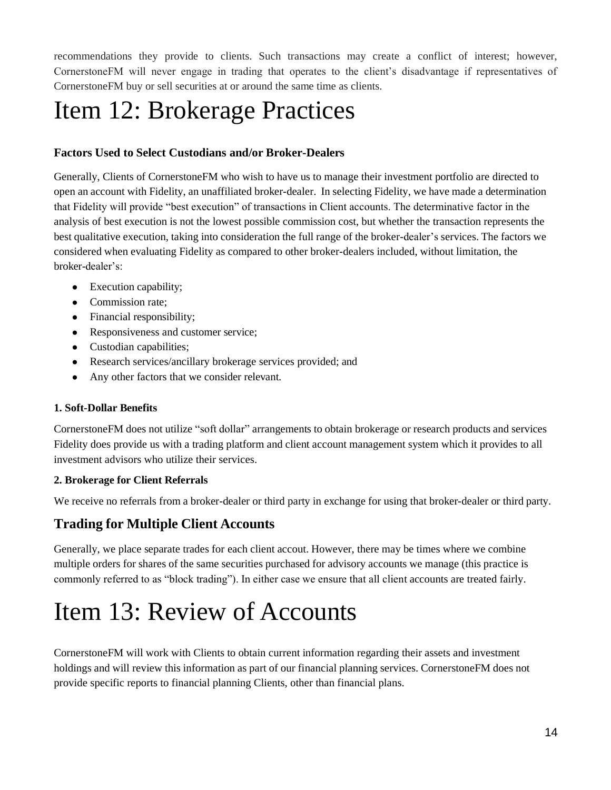recommendations they provide to clients. Such transactions may create a conflict of interest; however, CornerstoneFM will never engage in trading that operates to the client's disadvantage if representatives of CornerstoneFM buy or sell securities at or around the same time as clients.

## Item 12: Brokerage Practices

#### **Factors Used to Select Custodians and/or Broker-Dealers**

Generally, Clients of CornerstoneFM who wish to have us to manage their investment portfolio are directed to open an account with Fidelity, an unaffiliated broker-dealer. In selecting Fidelity, we have made a determination that Fidelity will provide "best execution" of transactions in Client accounts. The determinative factor in the analysis of best execution is not the lowest possible commission cost, but whether the transaction represents the best qualitative execution, taking into consideration the full range of the broker-dealer's services. The factors we considered when evaluating Fidelity as compared to other broker-dealers included, without limitation, the broker-dealer's:

- Execution capability;
- Commission rate;
- Financial responsibility;
- Responsiveness and customer service;
- Custodian capabilities;
- Research services/ancillary brokerage services provided; and
- Any other factors that we consider relevant.

#### **1. Soft-Dollar Benefits**

CornerstoneFM does not utilize "soft dollar" arrangements to obtain brokerage or research products and services Fidelity does provide us with a trading platform and client account management system which it provides to all investment advisors who utilize their services.

#### **2. Brokerage for Client Referrals**

We receive no referrals from a broker-dealer or third party in exchange for using that broker-dealer or third party.

#### **Trading for Multiple Client Accounts**

Generally, we place separate trades for each client accout. However, there may be times where we combine multiple orders for shares of the same securities purchased for advisory accounts we manage (this practice is commonly referred to as "block trading"). In either case we ensure that all client accounts are treated fairly.

## Item 13: Review of Accounts

CornerstoneFM will work with Clients to obtain current information regarding their assets and investment holdings and will review this information as part of our financial planning services. CornerstoneFM does not provide specific reports to financial planning Clients, other than financial plans.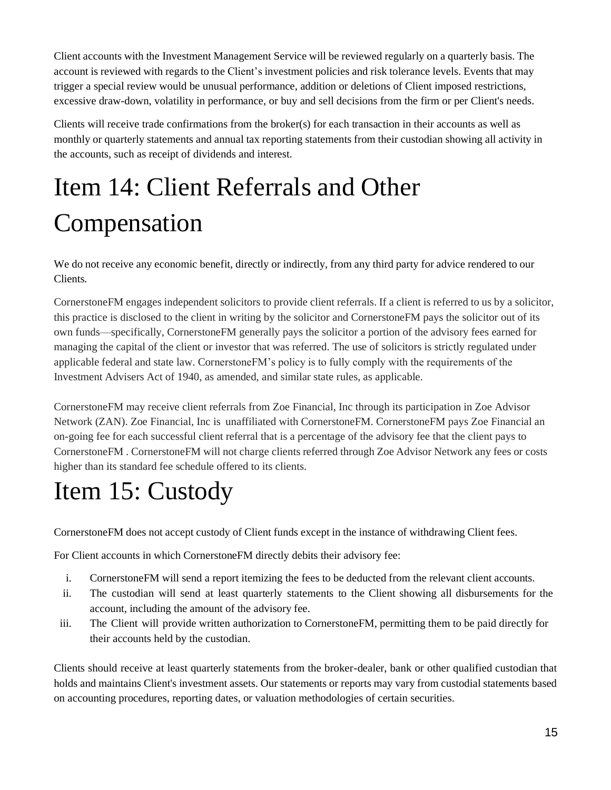Client accounts with the Investment Management Service will be reviewed regularly on a quarterly basis. The account is reviewed with regards to the Client's investment policies and risk tolerance levels. Events that may trigger a special review would be unusual performance, addition or deletions of Client imposed restrictions, excessive draw-down, volatility in performance, or buy and sell decisions from the firm or per Client's needs.

Clients will receive trade confirmations from the broker(s) for each transaction in their accounts as well as monthly or quarterly statements and annual tax reporting statements from their custodian showing all activity in the accounts, such as receipt of dividends and interest.

# Item 14: Client Referrals and Other Compensation

We do not receive any economic benefit, directly or indirectly, from any third party for advice rendered to our Clients.

CornerstoneFM engages independent solicitors to provide client referrals. If a client is referred to us by a solicitor, this practice is disclosed to the client in writing by the solicitor and CornerstoneFM pays the solicitor out of its own funds—specifically, CornerstoneFM generally pays the solicitor a portion of the advisory fees earned for managing the capital of the client or investor that was referred. The use of solicitors is strictly regulated under applicable federal and state law. CornerstoneFM's policy is to fully comply with the requirements of the Investment Advisers Act of 1940, as amended, and similar state rules, as applicable.

CornerstoneFM may receive client referrals from Zoe Financial, Inc through its participation in Zoe Advisor Network (ZAN). Zoe Financial, Inc is unaffiliated with CornerstoneFM. CornerstoneFM pays Zoe Financial an on-going fee for each successful client referral that is a percentage of the advisory fee that the client pays to CornerstoneFM . CornerstoneFM will not charge clients referred through Zoe Advisor Network any fees or costs higher than its standard fee schedule offered to its clients.

# Item 15: Custody

CornerstoneFM does not accept custody of Client funds except in the instance of withdrawing Client fees.

For Client accounts in which CornerstoneFM directly debits their advisory fee:

- i. CornerstoneFM will send a report itemizing the fees to be deducted from the relevant client accounts.
- ii. The custodian will send at least quarterly statements to the Client showing all disbursements for the account, including the amount of the advisory fee.
- iii. The Client will provide written authorization to CornerstoneFM, permitting them to be paid directly for their accounts held by the custodian.

Clients should receive at least quarterly statements from the broker-dealer, bank or other qualified custodian that holds and maintains Client's investment assets. Our statements or reports may vary from custodial statements based on accounting procedures, reporting dates, or valuation methodologies of certain securities.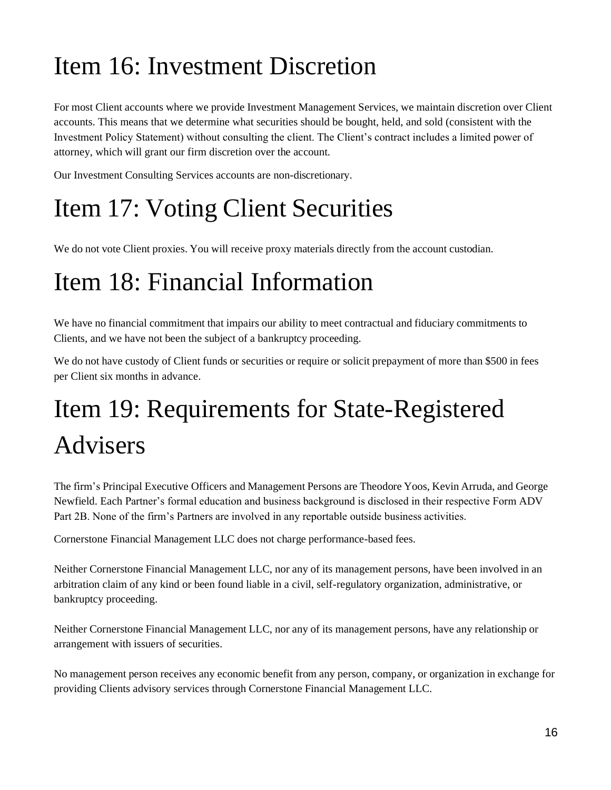## Item 16: Investment Discretion

For most Client accounts where we provide Investment Management Services, we maintain discretion over Client accounts. This means that we determine what securities should be bought, held, and sold (consistent with the Investment Policy Statement) without consulting the client. The Client's contract includes a limited power of attorney, which will grant our firm discretion over the account.

Our Investment Consulting Services accounts are non-discretionary.

## Item 17: Voting Client Securities

We do not vote Client proxies. You will receive proxy materials directly from the account custodian.

## Item 18: Financial Information

We have no financial commitment that impairs our ability to meet contractual and fiduciary commitments to Clients, and we have not been the subject of a bankruptcy proceeding.

We do not have custody of Client funds or securities or require or solicit prepayment of more than \$500 in fees per Client six months in advance.

# Item 19: Requirements for State-Registered Advisers

The firm's Principal Executive Officers and Management Persons are Theodore Yoos, Kevin Arruda, and George Newfield. Each Partner's formal education and business background is disclosed in their respective Form ADV Part 2B. None of the firm's Partners are involved in any reportable outside business activities.

Cornerstone Financial Management LLC does not charge performance-based fees.

Neither Cornerstone Financial Management LLC, nor any of its management persons, have been involved in an arbitration claim of any kind or been found liable in a civil, self-regulatory organization, administrative, or bankruptcy proceeding.

Neither Cornerstone Financial Management LLC, nor any of its management persons, have any relationship or arrangement with issuers of securities.

No management person receives any economic benefit from any person, company, or organization in exchange for providing Clients advisory services through Cornerstone Financial Management LLC.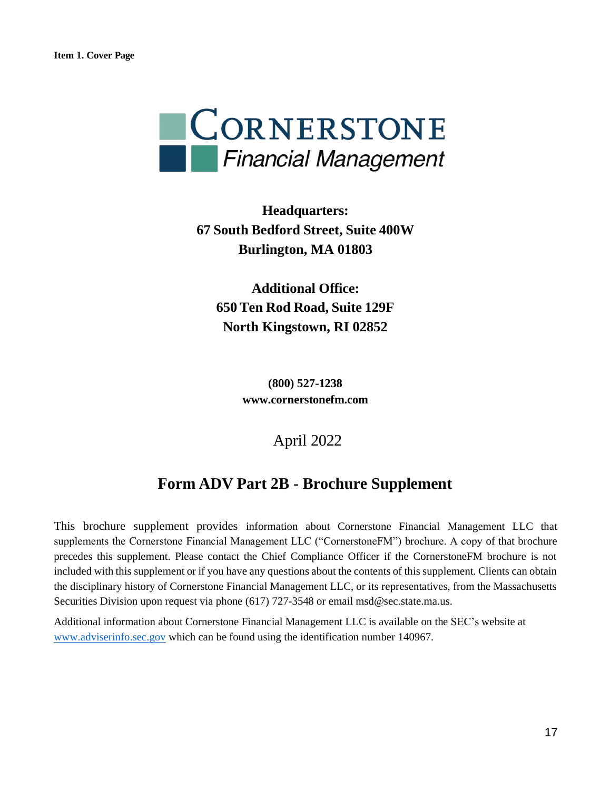

**Headquarters: 67 South Bedford Street, Suite 400W Burlington, MA 01803**

**Additional Office: 650 Ten Rod Road, Suite 129F North Kingstown, RI 02852**

> **(800) 527-1238 www.cornerstonefm.com**

> > April 2022

### **Form ADV Part 2B - Brochure Supplement**

This brochure supplement provides information about Cornerstone Financial Management LLC that supplements the Cornerstone Financial Management LLC ("CornerstoneFM") brochure. A copy of that brochure precedes this supplement. Please contact the Chief Compliance Officer if the CornerstoneFM brochure is not included with this supplement or if you have any questions about the contents of this supplement. Clients can obtain the disciplinary history of Cornerstone Financial Management LLC, or its representatives, from the Massachusetts Securities Division upon request via phone (617) 727-3548 or email msd@sec.state.ma.us.

Additional information about Cornerstone Financial Management LLC is available on the SEC's website at www.adviserinfo.sec.gov which can be found using the identification number 140967.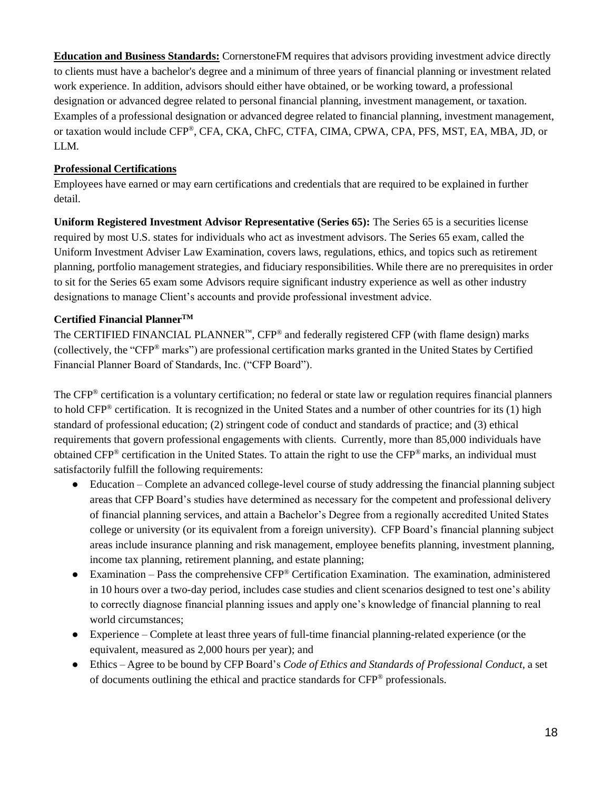**Education and Business Standards:** CornerstoneFM requires that advisors providing investment advice directly to clients must have a bachelor's degree and a minimum of three years of financial planning or investment related work experience. In addition, advisors should either have obtained, or be working toward, a professional designation or advanced degree related to personal financial planning, investment management, or taxation. Examples of a professional designation or advanced degree related to financial planning, investment management, or taxation would include CFP® , CFA, CKA, ChFC, CTFA, CIMA, CPWA, CPA, PFS, MST, EA, MBA, JD, or LLM.

#### **Professional Certifications**

Employees have earned or may earn certifications and credentials that are required to be explained in further detail.

**Uniform Registered Investment Advisor Representative (Series 65):** The Series 65 is a securities license required by most U.S. states for individuals who act as investment advisors. The Series 65 exam, called the Uniform Investment Adviser Law Examination, covers laws, regulations, ethics, and topics such as retirement planning, portfolio management strategies, and fiduciary responsibilities. While there are no prerequisites in order to sit for the Series 65 exam some Advisors require significant industry experience as well as other industry designations to manage Client's accounts and provide professional investment advice.

#### **Certified Financial PlannerTM**

The CERTIFIED FINANCIAL PLANNER<sup>™</sup>, CFP<sup>®</sup> and federally registered CFP (with flame design) marks (collectively, the "CFP® marks") are professional certification marks granted in the United States by Certified Financial Planner Board of Standards, Inc. ("CFP Board").

The CFP® certification is a voluntary certification; no federal or state law or regulation requires financial planners to hold CFP® certification. It is recognized in the United States and a number of other countries for its (1) high standard of professional education; (2) stringent code of conduct and standards of practice; and (3) ethical requirements that govern professional engagements with clients. Currently, more than 85,000 individuals have obtained CFP<sup>®</sup> certification in the United States. To attain the right to use the CFP<sup>®</sup> marks, an individual must satisfactorily fulfill the following requirements:

- Education Complete an advanced college-level course of study addressing the financial planning subject areas that CFP Board's studies have determined as necessary for the competent and professional delivery of financial planning services, and attain a Bachelor's Degree from a regionally accredited United States college or university (or its equivalent from a foreign university). CFP Board's financial planning subject areas include insurance planning and risk management, employee benefits planning, investment planning, income tax planning, retirement planning, and estate planning;
- Examination Pass the comprehensive  $CFP^{\otimes}$  Certification Examination. The examination, administered in 10 hours over a two-day period, includes case studies and client scenarios designed to test one's ability to correctly diagnose financial planning issues and apply one's knowledge of financial planning to real world circumstances;
- Experience Complete at least three years of full-time financial planning-related experience (or the equivalent, measured as 2,000 hours per year); and
- Ethics Agree to be bound by CFP Board's *Code of Ethics and Standards of Professional Conduct*, a set of documents outlining the ethical and practice standards for CFP® professionals.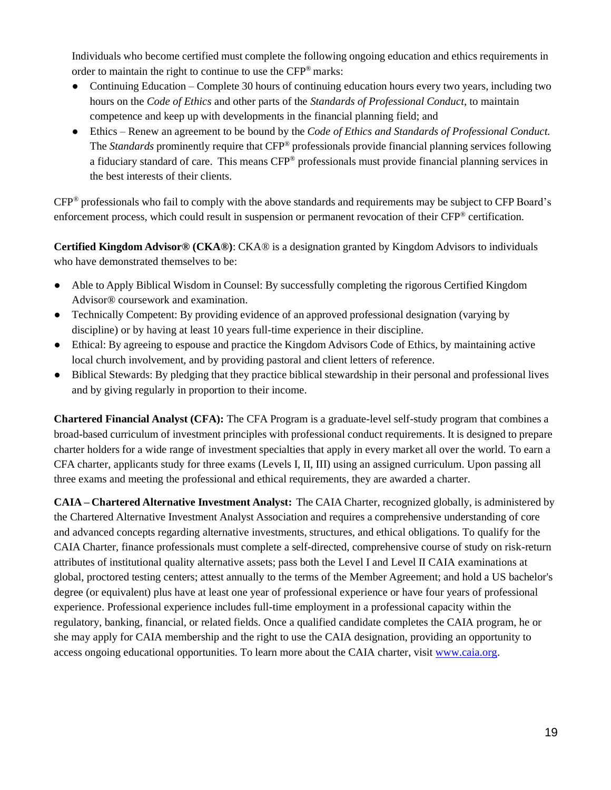Individuals who become certified must complete the following ongoing education and ethics requirements in order to maintain the right to continue to use the CFP® marks:

- Continuing Education Complete 30 hours of continuing education hours every two years, including two hours on the *Code of Ethics* and other parts of the *Standards of Professional Conduct*, to maintain competence and keep up with developments in the financial planning field; and
- Ethics Renew an agreement to be bound by the *Code of Ethics and Standards of Professional Conduct.*  The *Standards* prominently require that CFP® professionals provide financial planning services following a fiduciary standard of care. This means CFP® professionals must provide financial planning services in the best interests of their clients.

CFP® professionals who fail to comply with the above standards and requirements may be subject to CFP Board's enforcement process, which could result in suspension or permanent revocation of their CFP® certification.

**Certified Kingdom Advisor® (CKA®)**: CKA® is a designation granted by Kingdom Advisors to individuals who have demonstrated themselves to be:

- Able to Apply Biblical Wisdom in Counsel: By successfully completing the rigorous Certified Kingdom Advisor® coursework and examination.
- Technically Competent: By providing evidence of an approved professional designation (varying by discipline) or by having at least 10 years full-time experience in their discipline.
- Ethical: By agreeing to espouse and practice the Kingdom Advisors Code of Ethics, by maintaining active local church involvement, and by providing pastoral and client letters of reference.
- Biblical Stewards: By pledging that they practice biblical stewardship in their personal and professional lives and by giving regularly in proportion to their income.

**Chartered Financial Analyst (CFA):** The CFA Program is a graduate-level self-study program that combines a broad-based curriculum of investment principles with professional conduct requirements. It is designed to prepare charter holders for a wide range of investment specialties that apply in every market all over the world. To earn a CFA charter, applicants study for three exams (Levels I, II, III) using an assigned curriculum. Upon passing all three exams and meeting the professional and ethical requirements, they are awarded a charter.

**CAIA – Chartered Alternative Investment Analyst:** The CAIA Charter, recognized globally, is administered by the Chartered Alternative Investment Analyst Association and requires a comprehensive understanding of core and advanced concepts regarding alternative investments, structures, and ethical obligations. To qualify for the CAIA Charter, finance professionals must complete a self-directed, comprehensive course of study on risk-return attributes of institutional quality alternative assets; pass both the Level I and Level II CAIA examinations at global, proctored testing centers; attest annually to the terms of the Member Agreement; and hold a US bachelor's degree (or equivalent) plus have at least one year of professional experience or have four years of professional experience. Professional experience includes full-time employment in a professional capacity within the regulatory, banking, financial, or related fields. Once a qualified candidate completes the CAIA program, he or she may apply for CAIA membership and the right to use the CAIA designation, providing an opportunity to access ongoing educational opportunities. To learn more about the CAIA charter, visit www.caia.org.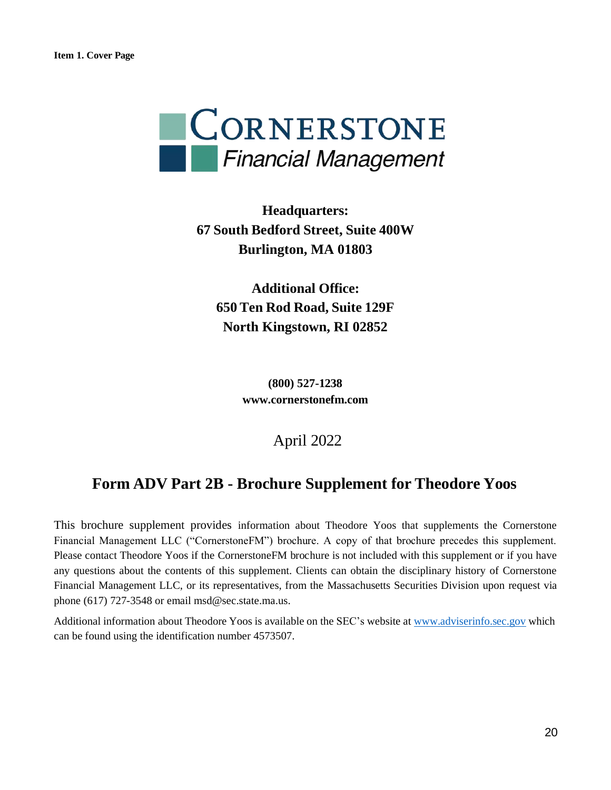

**Headquarters: 67 South Bedford Street, Suite 400W Burlington, MA 01803**

**Additional Office: 650 Ten Rod Road, Suite 129F North Kingstown, RI 02852**

> **(800) 527-1238 www.cornerstonefm.com**

### April 2022

### **Form ADV Part 2B - Brochure Supplement for Theodore Yoos**

This brochure supplement provides information about Theodore Yoos that supplements the Cornerstone Financial Management LLC ("CornerstoneFM") brochure. A copy of that brochure precedes this supplement. Please contact Theodore Yoos if the CornerstoneFM brochure is not included with this supplement or if you have any questions about the contents of this supplement. Clients can obtain the disciplinary history of Cornerstone Financial Management LLC, or its representatives, from the Massachusetts Securities Division upon request via phone (617) 727-3548 or email msd@sec.state.ma.us.

Additional information about Theodore Yoos is available on the SEC's website at www.adviserinfo.sec.gov which can be found using the identification number 4573507.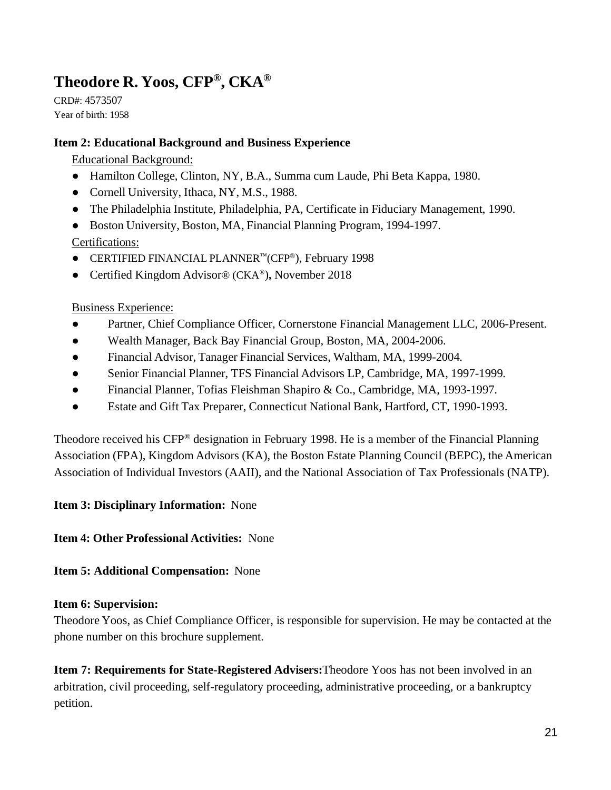## **Theodore R. Yoos, CFP® , CKA®**

CRD#: 4573507 Year of birth: 1958

#### **Item 2: Educational Background and Business Experience**

Educational Background:

- Hamilton College, Clinton, NY, B.A., Summa cum Laude, Phi Beta Kappa, 1980.
- Cornell University, Ithaca, NY, M.S., 1988.
- The Philadelphia Institute, Philadelphia, PA, Certificate in Fiduciary Management, 1990.
- Boston University, Boston, MA, Financial Planning Program, 1994-1997.

Certifications:

- CERTIFIED FINANCIAL PLANNER™(CFP® ), February 1998
- Certified Kingdom Advisor<sup>®</sup> (CKA®), November 2018

#### Business Experience:

- Partner, Chief Compliance Officer, Cornerstone Financial Management LLC, 2006-Present.
- Wealth Manager, Back Bay Financial Group, Boston, MA, 2004-2006.
- Financial Advisor, Tanager Financial Services, Waltham, MA, 1999-2004.
- Senior Financial Planner, TFS Financial Advisors LP, Cambridge, MA, 1997-1999.
- Financial Planner, Tofias Fleishman Shapiro & Co., Cambridge, MA, 1993-1997.
- Estate and Gift Tax Preparer, Connecticut National Bank, Hartford, CT, 1990-1993.

Theodore received his CFP® designation in February 1998. He is a member of the Financial Planning Association (FPA), Kingdom Advisors (KA), the Boston Estate Planning Council (BEPC), the American Association of Individual Investors (AAII), and the National Association of Tax Professionals (NATP).

#### **Item 3: Disciplinary Information:** None

#### **Item 4: Other Professional Activities:** None

#### **Item 5: Additional Compensation:** None

#### **Item 6: Supervision:**

Theodore Yoos, as Chief Compliance Officer, is responsible for supervision. He may be contacted at the phone number on this brochure supplement.

**Item 7: Requirements for State-Registered Advisers:**Theodore Yoos has not been involved in an arbitration, civil proceeding, self-regulatory proceeding, administrative proceeding, or a bankruptcy petition.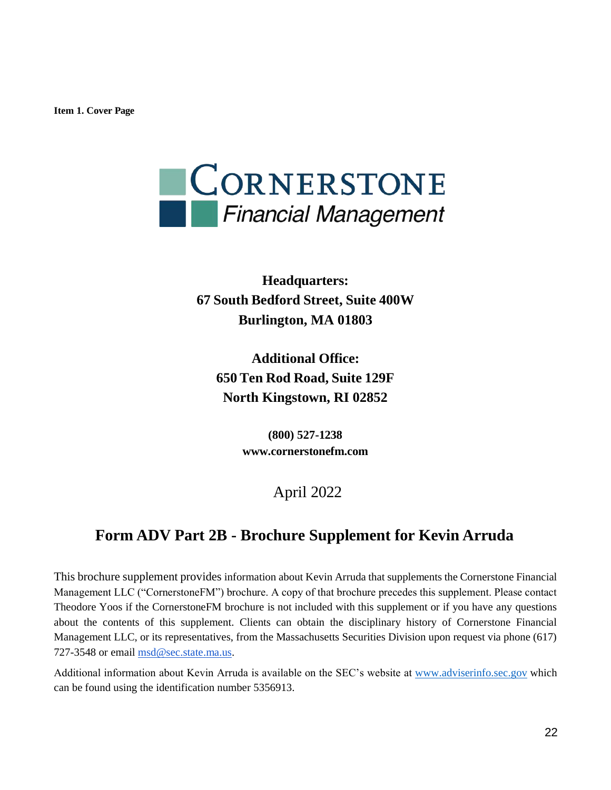**Item 1. Cover Page**



**Headquarters: 67 South Bedford Street, Suite 400W Burlington, MA 01803**

**Additional Office: 650 Ten Rod Road, Suite 129F North Kingstown, RI 02852**

> **(800) 527-1238 www.cornerstonefm.com**

> > April 2022

### **Form ADV Part 2B - Brochure Supplement for Kevin Arruda**

This brochure supplement provides information about Kevin Arruda that supplements the Cornerstone Financial Management LLC ("CornerstoneFM") brochure. A copy of that brochure precedes this supplement. Please contact Theodore Yoos if the CornerstoneFM brochure is not included with this supplement or if you have any questions about the contents of this supplement. Clients can obtain the disciplinary history of Cornerstone Financial Management LLC, or its representatives, from the Massachusetts Securities Division upon request via phone (617) 727-3548 or email msd@sec.state.ma.us.

Additional information about Kevin Arruda is available on the SEC's website at www.adviserinfo.sec.gov which can be found using the identification number 5356913.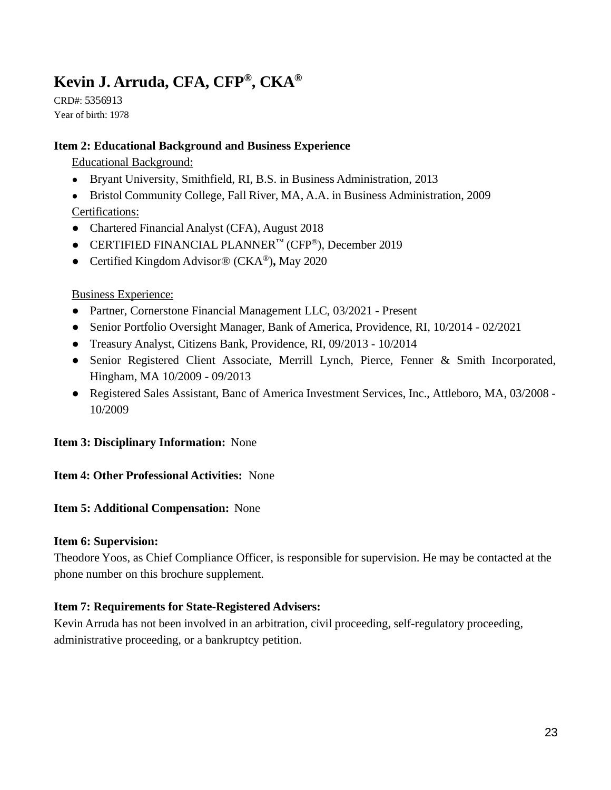## **Kevin J. Arruda, CFA, CFP® , CKA®**

CRD#: 5356913 Year of birth: 1978

#### **Item 2: Educational Background and Business Experience**

Educational Background:

● Bryant University, Smithfield, RI, B.S. in Business Administration, 2013

• Bristol Community College, Fall River, MA, A.A. in Business Administration, 2009 Certifications:

- Chartered Financial Analyst (CFA), August 2018
- CERTIFIED FINANCIAL PLANNER™ (CFP®), December 2019
- Certified Kingdom Advisor® (CKA®)**,** May 2020

#### Business Experience:

- Partner, Cornerstone Financial Management LLC, 03/2021 Present
- Senior Portfolio Oversight Manager, Bank of America, Providence, RI, 10/2014 02/2021
- Treasury Analyst, Citizens Bank, Providence, RI, 09/2013 10/2014
- Senior Registered Client Associate, Merrill Lynch, Pierce, Fenner & Smith Incorporated, Hingham, MA 10/2009 - 09/2013
- Registered Sales Assistant, Banc of America Investment Services, Inc., Attleboro, MA, 03/2008 10/2009

#### **Item 3: Disciplinary Information:** None

#### **Item 4: Other Professional Activities:** None

#### **Item 5: Additional Compensation:** None

#### **Item 6: Supervision:**

Theodore Yoos, as Chief Compliance Officer, is responsible for supervision. He may be contacted at the phone number on this brochure supplement.

#### **Item 7: Requirements for State-Registered Advisers:**

Kevin Arruda has not been involved in an arbitration, civil proceeding, self-regulatory proceeding, administrative proceeding, or a bankruptcy petition.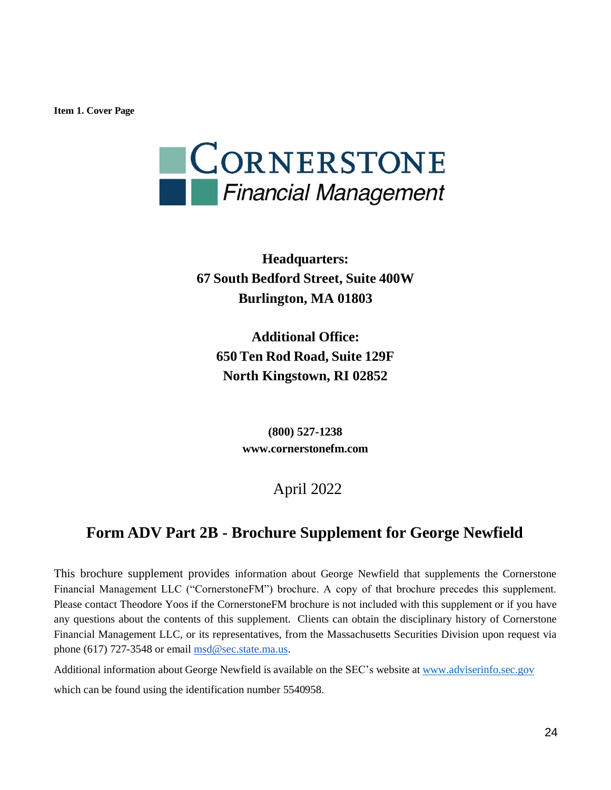**Item 1. Cover Page**



**Headquarters: 67 South Bedford Street, Suite 400W Burlington, MA 01803**

**Additional Office: 650 Ten Rod Road, Suite 129F North Kingstown, RI 02852**

> **(800) 527-1238 www.cornerstonefm.com**

### April 2022

### **Form ADV Part 2B - Brochure Supplement for George Newfield**

This brochure supplement provides information about George Newfield that supplements the Cornerstone Financial Management LLC ("CornerstoneFM") brochure. A copy of that brochure precedes this supplement. Please contact Theodore Yoos if the CornerstoneFM brochure is not included with this supplement or if you have any questions about the contents of this supplement. Clients can obtain the disciplinary history of Cornerstone Financial Management LLC, or its representatives, from the Massachusetts Securities Division upon request via phone (617) 727-3548 or email msd@sec.state.ma.us.

Additional information about George Newfield is available on the SEC's website at www.adviserinfo.sec.gov

which can be found using the identification number 5540958.